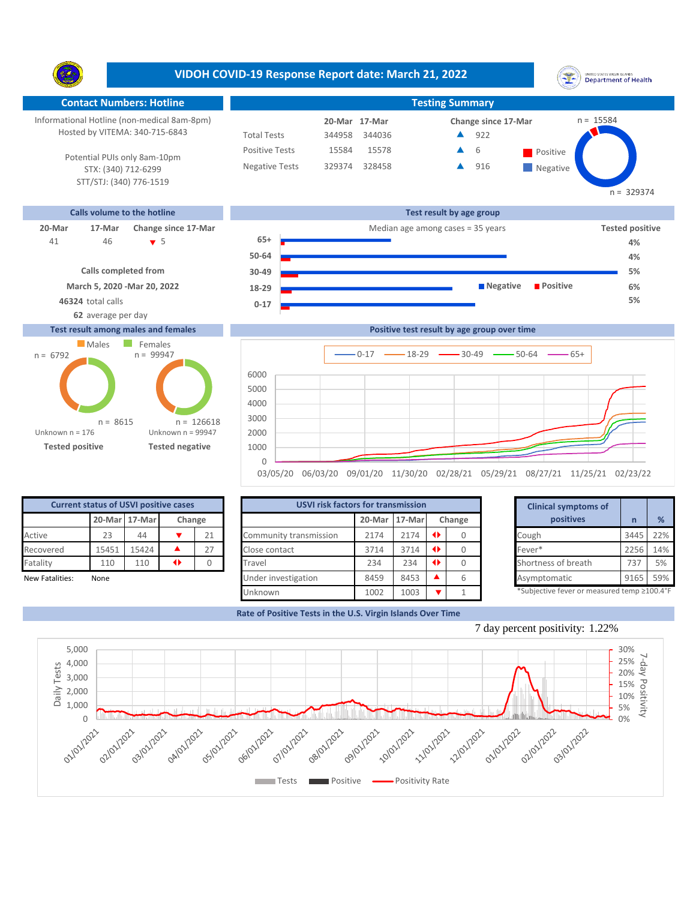**VIDOH COVID-19 Response Report date: March 21, 2022** UNITED STATES VIRGIN SLANDS<br>Department of Health Y. **Contact Numbers: Hotline Testing Summary** Informational Hotline (non-medical 8am-8pm)  $n = 15584$ **20-Mar Change since 17-Mar 17-Mar** Hosted by VITEMA: 340-715-6843 Total Tests 344958 344036 922 ▲ Positive Tests 15584 15578  $\triangle$  6 Positive  $\blacktriangle$ 6 Potential PUIs only 8am-10pm Negative Tests 329374 328458 916 ▲ **Negative** STX: (340) 712-6299 STT/STJ: (340) 776-1519  $n = 329374$ **Calls volume to the hotline Test result by age group 20-Mar 17-Mar Change since 17-Mar** Median age among cases = 35 years **Tested positive 65+** 46 5 41 **4% 50-64 4% Calls completed from 30-49 5% March 5, 2020 -Mar 20, 2022 Negative Positive 6% 18-29**

## **Test result among males and females**



| at usanit sussana malas and famalas. | Dealth is took useful buyers wearing arrangthese |    |
|--------------------------------------|--------------------------------------------------|----|
| 62 average per day                   |                                                  |    |
| 46324 total calls                    | U-1.                                             | 5% |



| <b>Current status of USVI positive cases</b> |                         |       |  |    |  |  |  |  |
|----------------------------------------------|-------------------------|-------|--|----|--|--|--|--|
|                                              | 20-Mar 17-Mar<br>Change |       |  |    |  |  |  |  |
| Active                                       | 23                      | 44    |  | 21 |  |  |  |  |
| Recovered                                    | 15451                   | 15424 |  | 27 |  |  |  |  |
| Fatality                                     | 110                     | 110   |  |    |  |  |  |  |
| Marcelland Catalogue                         | $N = -1$                |       |  |    |  |  |  |  |

|                 | <b>Current status of USVI positive cases</b> |               |                 |        | <b>USVI risk factors for transmission</b> |        |          |        | <b>Clinical symptoms of</b>                |      |     |
|-----------------|----------------------------------------------|---------------|-----------------|--------|-------------------------------------------|--------|----------|--------|--------------------------------------------|------|-----|
|                 |                                              | 20-Mar 17-Mar |                 | Change |                                           | 20-Mar | $17-Mar$ | Change | positives                                  |      | %   |
| Active          | 23                                           | 44            |                 | 21     | Community transmission                    | 2174   | 2174     |        | Cough                                      | 3445 | 22% |
| Recovered       | 15451                                        | 15424         |                 | 27     | Close contact                             | 3714   | 3714     |        | Fever*                                     | 2256 | 14% |
| Fatality        | 110                                          | 110           | $\blacklozenge$ |        | Travel                                    | 234    | 234      |        | Shortness of breath                        | 737  | 5%  |
| New Fatalities: | None                                         |               |                 |        | Under investigation                       | 8459   | 8453     |        | Asymptomatic                               | 9165 | 59% |
|                 |                                              |               |                 |        | Unknown                                   | 1002   | 1003     |        | *Subjective fever or measured temp ≥100.4° |      |     |

|      | for transmission |   |        | <b>Clinical symptoms of</b>                 |      |     |
|------|------------------|---|--------|---------------------------------------------|------|-----|
|      | 20-Mar 17-Mar    |   | Change | positives                                   | n    | %   |
| 2174 | 2174             | ◆ | 0      | Cough                                       | 3445 | 22% |
| 3714 | 3714             | Œ |        | Fever*                                      | 2256 | 14% |
| 234  | 234              | ◆ | 0      | Shortness of breath                         | 737  | 5%  |
| 8459 | 8453             |   | 6      | Asymptomatic                                | 9165 | 59% |
| 1002 | 1003             |   |        | *Subjective fever or measured temp >100.4°F |      |     |